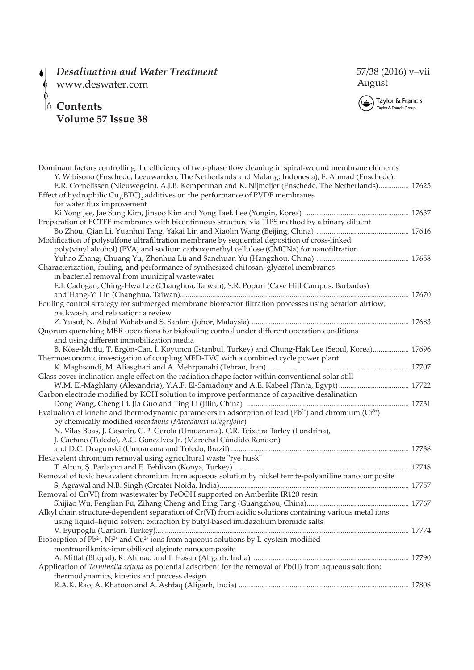## *Desalination and Water Treatment*  $\bullet$

 $\upphi$  www.deswater.com

## **Contents Volume 57 Issue 38**





| Dominant factors controlling the efficiency of two-phase flow cleaning in spiral-wound membrane elements<br>Y. Wibisono (Enschede, Leeuwarden, The Netherlands and Malang, Indonesia), F. Ahmad (Enschede), |
|-------------------------------------------------------------------------------------------------------------------------------------------------------------------------------------------------------------|
| E.R. Cornelissen (Nieuwegein), A.J.B. Kemperman and K. Nijmeijer (Enschede, The Netherlands) 17625                                                                                                          |
| Effect of hydrophilic Cu <sub>3</sub> (BTC), additives on the performance of PVDF membranes                                                                                                                 |
| for water flux improvement                                                                                                                                                                                  |
|                                                                                                                                                                                                             |
| Preparation of ECTFE membranes with bicontinuous structure via TIPS method by a binary diluent                                                                                                              |
|                                                                                                                                                                                                             |
| Modification of polysulfone ultrafiltration membrane by sequential deposition of cross-linked                                                                                                               |
| poly(vinyl alcohol) (PVA) and sodium carboxymethyl cellulose (CMCNa) for nanofiltration                                                                                                                     |
|                                                                                                                                                                                                             |
| Characterization, fouling, and performance of synthesized chitosan-glycerol membranes                                                                                                                       |
| in bacterial removal from municipal wastewater                                                                                                                                                              |
| E.I. Cadogan, Ching-Hwa Lee (Changhua, Taiwan), S.R. Popuri (Cave Hill Campus, Barbados)                                                                                                                    |
|                                                                                                                                                                                                             |
| Fouling control strategy for submerged membrane bioreactor filtration processes using aeration airflow,                                                                                                     |
| backwash, and relaxation: a review                                                                                                                                                                          |
|                                                                                                                                                                                                             |
| Quorum quenching MBR operations for biofouling control under different operation conditions                                                                                                                 |
| and using different immobilization media                                                                                                                                                                    |
| B. Köse-Mutlu, T. Ergön-Can, İ. Koyuncu (Istanbul, Turkey) and Chung-Hak Lee (Seoul, Korea) 17696                                                                                                           |
| Thermoeconomic investigation of coupling MED-TVC with a combined cycle power plant                                                                                                                          |
|                                                                                                                                                                                                             |
| Glass cover inclination angle effect on the radiation shape factor within conventional solar still                                                                                                          |
| W.M. El-Maghlany (Alexandria), Y.A.F. El-Samadony and A.E. Kabeel (Tanta, Egypt)  17722                                                                                                                     |
| Carbon electrode modified by KOH solution to improve performance of capacitive desalination                                                                                                                 |
|                                                                                                                                                                                                             |
| Evaluation of kinetic and thermodynamic parameters in adsorption of lead ( $Pb^{2+}$ ) and chromium ( $Cr^{3+}$ )                                                                                           |
| by chemically modified macadamia (Macadamia integrifolia)                                                                                                                                                   |
| N. Vilas Boas, J. Casarin, G.P. Gerola (Umuarama), C.R. Teixeira Tarley (Londrina),                                                                                                                         |
| J. Caetano (Toledo), A.C. Gonçalves Jr. (Marechal Cândido Rondon)                                                                                                                                           |
|                                                                                                                                                                                                             |
| Hexavalent chromium removal using agricultural waste "rye husk"                                                                                                                                             |
|                                                                                                                                                                                                             |
| Removal of toxic hexavalent chromium from aqueous solution by nickel ferrite-polyaniline nanocomposite                                                                                                      |
|                                                                                                                                                                                                             |
| Removal of Cr(VI) from wastewater by FeOOH supported on Amberlite IR120 resin                                                                                                                               |
|                                                                                                                                                                                                             |
| Alkyl chain structure-dependent separation of Cr(VI) from acidic solutions containing various metal ions                                                                                                    |
| using liquid-liquid solvent extraction by butyl-based imidazolium bromide salts                                                                                                                             |
|                                                                                                                                                                                                             |
| Biosorption of $Pb^{2+}$ , Ni <sup>2+</sup> and Cu <sup>2+</sup> ions from aqueous solutions by L-cystein-modified                                                                                          |
| montmorillonite-immobilized alginate nanocomposite                                                                                                                                                          |
|                                                                                                                                                                                                             |
| Application of Terminalia arjuna as potential adsorbent for the removal of Pb(II) from aqueous solution:                                                                                                    |
| thermodynamics, kinetics and process design                                                                                                                                                                 |
|                                                                                                                                                                                                             |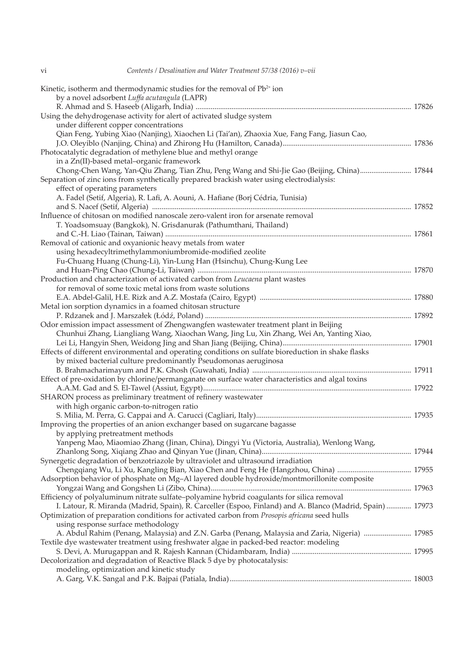| Kinetic, isotherm and thermodynamic studies for the removal of Pb <sup>2+</sup> ion<br>by a novel adsorbent Luffa acutangula (LAPR) |  |
|-------------------------------------------------------------------------------------------------------------------------------------|--|
| Using the dehydrogenase activity for alert of activated sludge system                                                               |  |
| under different copper concentrations                                                                                               |  |
| Qian Feng, Yubing Xiao (Nanjing), Xiaochen Li (Tai'an), Zhaoxia Xue, Fang Fang, Jiasun Cao,                                         |  |
| Photocatalytic degradation of methylene blue and methyl orange                                                                      |  |
| in a Zn(II)-based metal-organic framework                                                                                           |  |
| Chong-Chen Wang, Yan-Qiu Zhang, Tian Zhu, Peng Wang and Shi-Jie Gao (Beijing, China) 17844                                          |  |
| Separation of zinc ions from synthetically prepared brackish water using electrodialysis:                                           |  |
| effect of operating parameters                                                                                                      |  |
| A. Fadel (Setif, Algeria), R. Lafi, A. Aouni, A. Hafiane (Borj Cédria, Tunisia)                                                     |  |
|                                                                                                                                     |  |
| Influence of chitosan on modified nanoscale zero-valent iron for arsenate removal                                                   |  |
| T. Yoadsomsuay (Bangkok), N. Grisdanurak (Pathumthani, Thailand)                                                                    |  |
|                                                                                                                                     |  |
| Removal of cationic and oxyanionic heavy metals from water                                                                          |  |
| using hexadecyltrimethylammoniumbromide-modified zeolite                                                                            |  |
| Fu-Chuang Huang (Chung-Li), Yin-Lung Han (Hsinchu), Chung-Kung Lee                                                                  |  |
| Production and characterization of activated carbon from Leucaena plant wastes                                                      |  |
| for removal of some toxic metal ions from waste solutions                                                                           |  |
|                                                                                                                                     |  |
| Metal ion sorption dynamics in a foamed chitosan structure                                                                          |  |
|                                                                                                                                     |  |
| Odor emission impact assessment of Zhengwangfen wastewater treatment plant in Beijing                                               |  |
| Chunhui Zhang, Liangliang Wang, Xiaochan Wang, Jing Lu, Xin Zhang, Wei An, Yanting Xiao,                                            |  |
|                                                                                                                                     |  |
| Effects of different environmental and operating conditions on sulfate bioreduction in shake flasks                                 |  |
| by mixed bacterial culture predominantly Pseudomonas aeruginosa                                                                     |  |
|                                                                                                                                     |  |
| Effect of pre-oxidation by chlorine/permanganate on surface water characteristics and algal toxins                                  |  |
|                                                                                                                                     |  |
| SHARON process as preliminary treatment of refinery wastewater                                                                      |  |
| with high organic carbon-to-nitrogen ratio                                                                                          |  |
|                                                                                                                                     |  |
| Improving the properties of an anion exchanger based on sugarcane bagasse                                                           |  |
| by applying pretreatment methods                                                                                                    |  |
| Yanpeng Mao, Miaomiao Zhang (Jinan, China), Dingyi Yu (Victoria, Australia), Wenlong Wang,                                          |  |
|                                                                                                                                     |  |
| Synergetic degradation of benzotriazole by ultraviolet and ultrasound irradiation                                                   |  |
| Adsorption behavior of phosphate on Mg-Al layered double hydroxide/montmorillonite composite                                        |  |
|                                                                                                                                     |  |
| Efficiency of polyaluminum nitrate sulfate-polyamine hybrid coagulants for silica removal                                           |  |
| I. Latour, R. Miranda (Madrid, Spain), R. Carceller (Espoo, Finland) and A. Blanco (Madrid, Spain)  17973                           |  |
| Optimization of preparation conditions for activated carbon from Prosopis africana seed hulls                                       |  |
| using response surface methodology                                                                                                  |  |
| A. Abdul Rahim (Penang, Malaysia) and Z.N. Garba (Penang, Malaysia and Zaria, Nigeria)  17985                                       |  |
| Textile dye wastewater treatment using freshwater algae in packed-bed reactor: modeling                                             |  |
|                                                                                                                                     |  |
| Decolorization and degradation of Reactive Black 5 dye by photocatalysis:                                                           |  |
| modeling, optimization and kinetic study                                                                                            |  |
|                                                                                                                                     |  |